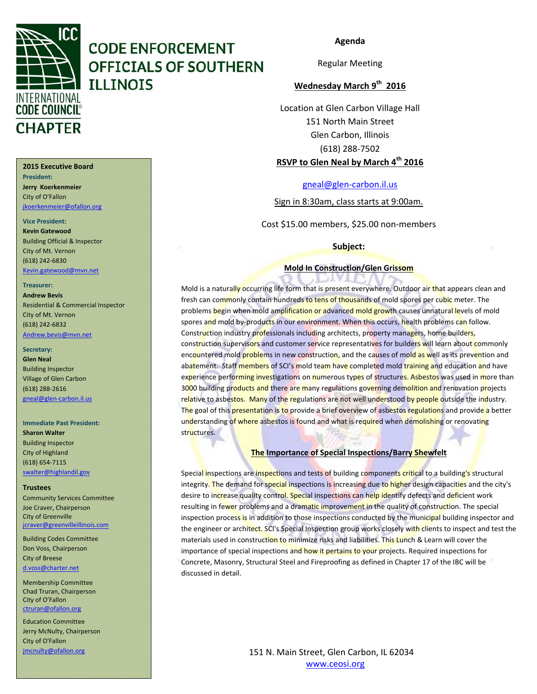

#### **Agenda**

Regular Meeting

#### **Wednesday March 9th 2016**

Location at Glen Carbon Village Hall 151 North Main Street Glen Carbon, Illinois (618) 288‐7502 **RSVP to Glen Neal by March 4th 2016**

gneal@glen‐carbon.il.us

Sign in 8:30am, class starts at 9:00am.

Cost \$15.00 members, \$25.00 non‐members

**Subject:**

#### **Mold In Construction/Glen Grissom**

21.V.I

Mold is a naturally occurring life form that is present everywhere. Outdoor air that appears clean and fresh can commonly contain hundreds to tens of thousands of mold spores per cubic meter. The problems begin when mold amplification or advanced mold growth causes unnatural levels of mold spores and mold by-products in our environment. When this occurs, health problems can follow. Construction industry professionals including architects, property managers, home builders, construction supervisors and customer service representatives for builders will learn about commonly encountered mold problems in new construction, and the causes of mold as well as its prevention and abatement. Staff members of SCI's mold team have completed mold training and education and have experience performing investigations on numerous types of structures. Asbestos was used in more than 3000 building products and there are many regulations governing demolition and renovation projects relative to asbestos. Many of the regulations are not well understood by people outside the industry. The goal of this presentation is to provide a brief overview of asbestos regulations and provide a better understanding of where asbestos is found and what is required when demolishing or renovating structures.

#### **The Importance of Special Inspections/Barry Shewfelt**

Special inspections are inspections and tests of building components critical to a building's structural integrity. The demand for special inspections is increasing due to higher design capacities and the city's desire to increase quality control. Special inspections can help identify defects and deficient work resulting in fewer problems and a dramatic improvement in the quality of construction. The special inspection process is in addition to those inspections conducted by the municipal building inspector and the engineer or architect. SCI's Special Inspection group works closely with clients to inspect and test the materials used in construction to minimize risks and liabilities. This Lunch & Learn will cover the importance of special inspections and how it pertains to your projects. Required inspections for Concrete, Masonry, Structural Steel and Fireproofing as defined in Chapter 17 of the IBC will be discussed in detail.

> 151 N. Main Street, Glen Carbon, IL 62034 www.ceosi.org

#### **2015 Executive Board**

**President: Jerry Koerkenmeier** City of O'Fallon jkoerkenmeier@ofallon.org

**Vice President: Kevin Gatewood**

Building Official & Inspector City of Mt. Vernon (618) 242‐6830 Kevin.gatewood@mvn.net

#### **Treasurer:**

**Andrew Bevis** Residential & Commercial Inspector City of Mt. Vernon (618) 242‐6832 Andrew.bevis@mvn.net

#### Secretary:

**Glen Neal** Building Inspector Village of Glen Carbon (618) 288‐2616 gneal@glen‐carbon.il.us

#### **Immediate Past President:**

**Sharon Walter** Building Inspector City of Highland (618) 654‐7115 swalter@highlandil.gov

#### **Trustees**

Community Services Committee Joe Craver, Chairperson City of Greenville jcraver@greenvilleillinois.com

Building Codes Committee Don Voss, Chairperson City of Breese d.voss@charter.net

Membership Committee Chad Truran, Chairperson City of O'Fallon ctruran@ofallon.org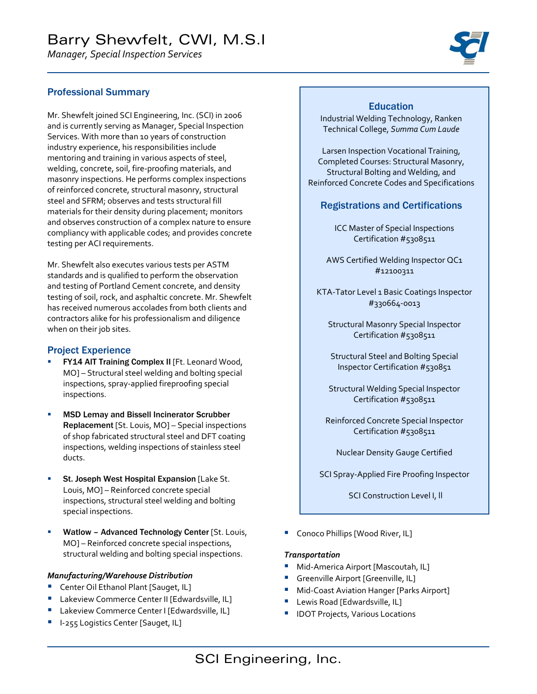*Manager, Special Inspection Services*



#### Professional Summary

Mr. Shewfelt joined SCI Engineering, Inc. (SCI) in 2006 and is currently serving as Manager, Special Inspection Services. With more than 10 years of construction industry experience, his responsibilities include mentoring and training in various aspects of steel, welding, concrete, soil, fire‐proofing materials, and masonry inspections. He performs complex inspections of reinforced concrete, structural masonry, structural steel and SFRM; observes and tests structural fill materials for their density during placement; monitors and observes construction of a complex nature to ensure compliancy with applicable codes; and provides concrete testing per ACI requirements.

Mr. Shewfelt also executes various tests per ASTM standards and is qualified to perform the observation and testing of Portland Cement concrete, and density testing of soil, rock, and asphaltic concrete. Mr. Shewfelt has received numerous accolades from both clients and contractors alike for his professionalism and diligence when on their job sites.

#### Project Experience

- FY14 AIT Training Complex II [Ft. Leonard Wood, MO] – Structural steel welding and bolting special inspections, spray‐applied fireproofing special inspections.
- MSD Lemay and Bissell Incinerator Scrubber Replacement [St. Louis, MO] – Special inspections of shop fabricated structural steel and DFT coating inspections, welding inspections of stainless steel ducts.
- St. Joseph West Hospital Expansion [Lake St. Louis, MO] – Reinforced concrete special inspections, structural steel welding and bolting special inspections.
- Watlow Advanced Technology Center [St. Louis, MO] – Reinforced concrete special inspections, structural welding and bolting special inspections.

#### *Manufacturing/Warehouse Distribution*

- **Center Oil Ethanol Plant [Sauget, IL]**
- **Lakeview Commerce Center II [Edwardsville, IL]**
- **Lakeview Commerce Center I [Edwardsville, IL]**
- I‐255 Logistics Center [Sauget, IL]

#### **Education**

Industrial Welding Technology, Ranken Technical College, *Summa Cum Laude*

Larsen Inspection Vocational Training, Completed Courses: Structural Masonry, Structural Bolting and Welding, and Reinforced Concrete Codes and Specifications

#### Registrations and Certifications

ICC Master of Special Inspections Certification #5308511

AWS Certified Welding Inspector QC1 #12100311

KTA-Tator Level 1 Basic Coatings Inspector #330664‐0013

Structural Masonry Special Inspector Certification #5308511

Structural Steel and Bolting Special Inspector Certification #530851

Structural Welding Special Inspector Certification #5308511

Reinforced Concrete Special Inspector Certification #5308511

Nuclear Density Gauge Certified

SCI Spray‐Applied Fire Proofing Inspector

SCI Construction Level I, ll

**Conoco Phillips [Wood River, IL]** 

#### *Transportation*

- Mid-America Airport [Mascoutah, IL]
- **Greenville Airport [Greenville, IL]**
- Mid-Coast Aviation Hanger [Parks Airport]
- Lewis Road [Edwardsville, IL]
- IDOT Projects, Various Locations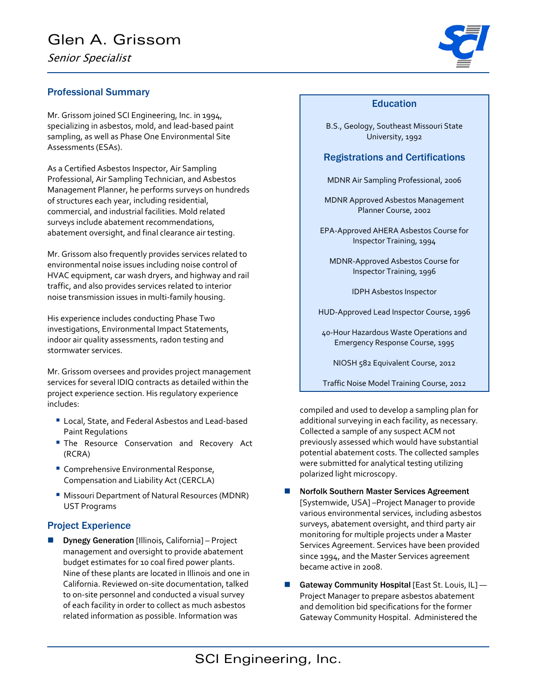# Glen A. Grissom

Senior Specialist

#### Professional Summary

Mr. Grissom joined SCI Engineering, Inc. in 1994, specializing in asbestos, mold, and lead‐based paint sampling, as well as Phase One Environmental Site Assessments (ESAs).

As a Certified Asbestos Inspector, Air Sampling Professional, Air Sampling Technician, and Asbestos Management Planner, he performs surveys on hundreds of structures each year, including residential, commercial, and industrial facilities. Mold related surveys include abatement recommendations, abatement oversight, and final clearance air testing.

Mr. Grissom also frequently provides services related to environmental noise issues including noise control of HVAC equipment, car wash dryers, and highway and rail traffic, and also provides services related to interior noise transmission issues in multi‐family housing.

His experience includes conducting Phase Two investigations, Environmental Impact Statements, indoor air quality assessments, radon testing and stormwater services.

Mr. Grissom oversees and provides project management services for several IDIQ contracts as detailed within the project experience section. His regulatory experience includes:

- Local, State, and Federal Asbestos and Lead-based Paint Regulations
- **The Resource Conservation and Recovery Act** (RCRA)
- **Comprehensive Environmental Response,** Compensation and Liability Act (CERCLA)
- **Missouri Department of Natural Resources (MDNR)** UST Programs

#### Project Experience

 Dynegy Generation [Illinois, California] – Project management and oversight to provide abatement budget estimates for 10 coal fired power plants. Nine of these plants are located in Illinois and one in California. Reviewed on‐site documentation, talked to on‐site personnel and conducted a visual survey of each facility in order to collect as much asbestos related information as possible. Information was

#### Education

B.S., Geology, Southeast Missouri State University, 1992

#### Registrations and Certifications

- MDNR Air Sampling Professional, 2006
- MDNR Approved Asbestos Management Planner Course, 2002
- EPA‐Approved AHERA Asbestos Course for Inspector Training, 1994
	- MDNR‐Approved Asbestos Course for Inspector Training, 1996
		- IDPH Asbestos Inspector
- HUD‐Approved Lead Inspector Course, 1996
- 40‐Hour Hazardous Waste Operations and Emergency Response Course, 1995

NIOSH 582 Equivalent Course, 2012

Traffic Noise Model Training Course, 2012

compiled and used to develop a sampling plan for additional surveying in each facility, as necessary. Collected a sample of any suspect ACM not previously assessed which would have substantial potential abatement costs. The collected samples were submitted for analytical testing utilizing polarized light microscopy.

- Norfolk Southern Master Services Agreement [Systemwide, USA] –Project Manager to provide various environmental services, including asbestos surveys, abatement oversight, and third party air monitoring for multiple projects under a Master Services Agreement. Services have been provided since 1994, and the Master Services agreement became active in 2008.
- Gateway Community Hospital [East St. Louis,  $IL$ ] Project Manager to prepare asbestos abatement and demolition bid specifications for the former Gateway Community Hospital. Administered the

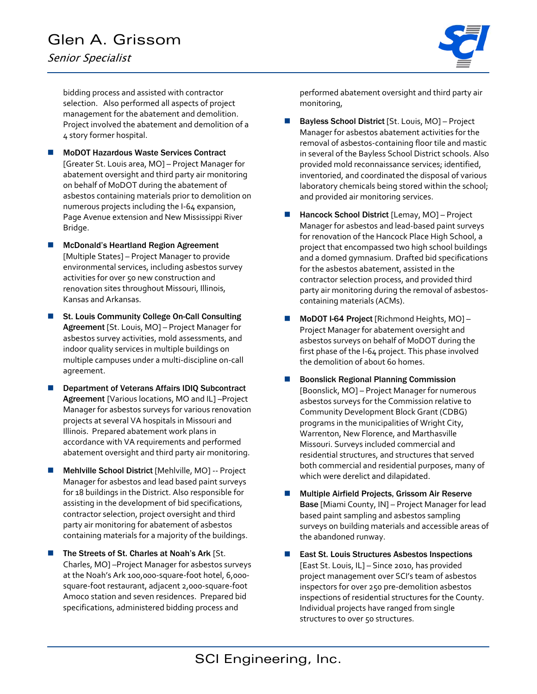# Glen A. Grissom

Senior Specialist



bidding process and assisted with contractor selection. Also performed all aspects of project management for the abatement and demolition. Project involved the abatement and demolition of a 4 story former hospital.

- MoDOT Hazardous Waste Services Contract [Greater St. Louis area, MO] – Project Manager for abatement oversight and third party air monitoring on behalf of MoDOT during the abatement of asbestos containing materials prior to demolition on numerous projects including the I‐64 expansion, Page Avenue extension and New Mississippi River Bridge.
- McDonald's Heartland Region Agreement [Multiple States] – Project Manager to provide environmental services, including asbestos survey activities for over 50 new construction and renovation sites throughout Missouri, Illinois, Kansas and Arkansas.
- St. Louis Community College On-Call Consulting Agreement [St. Louis, MO] – Project Manager for asbestos survey activities, mold assessments, and indoor quality services in multiple buildings on multiple campuses under a multi‐discipline on‐call agreement.
- Department of Veterans Affairs IDIQ Subcontract Agreement [Various locations, MO and IL] –Project Manager for asbestos surveys for various renovation projects at several VA hospitals in Missouri and Illinois. Prepared abatement work plans in accordance with VA requirements and performed abatement oversight and third party air monitoring.
- Mehlville School District [Mehlville, MO] ‐‐ Project Manager for asbestos and lead based paint surveys for 18 buildings in the District. Also responsible for assisting in the development of bid specifications, contractor selection, project oversight and third party air monitoring for abatement of asbestos containing materials for a majority of the buildings.
- The Streets of St. Charles at Noah's Ark [St. Charles, MO] –Project Manager for asbestos surveys at the Noah's Ark 100,000‐square‐foot hotel, 6,000‐ square‐foot restaurant, adjacent 2,000‐square‐foot Amoco station and seven residences. Prepared bid specifications, administered bidding process and

performed abatement oversight and third party air monitoring,

- Bayless School District [St. Louis, MO] Project Manager for asbestos abatement activities for the removal of asbestos‐containing floor tile and mastic in several of the Bayless School District schools. Also provided mold reconnaissance services; identified, inventoried, and coordinated the disposal of various laboratory chemicals being stored within the school; and provided air monitoring services.
- Hancock School District [Lemay, MO] Project Manager for asbestos and lead‐based paint surveys for renovation of the Hancock Place High School, a project that encompassed two high school buildings and a domed gymnasium. Drafted bid specifications for the asbestos abatement, assisted in the contractor selection process, and provided third party air monitoring during the removal of asbestos‐ containing materials (ACMs).
- MoDOT I-64 Project [Richmond Heights, MO] Project Manager for abatement oversight and asbestos surveys on behalf of MoDOT during the first phase of the I‐64 project. This phase involved the demolition of about 60 homes.
- **Boonslick Regional Planning Commission** [Boonslick, MO] – Project Manager for numerous asbestos surveys for the Commission relative to Community Development Block Grant (CDBG) programs in the municipalities of Wright City, Warrenton, New Florence, and Marthasville Missouri. Surveys included commercial and residential structures, and structures that served both commercial and residential purposes, many of which were derelict and dilapidated.
- **Multiple Airfield Projects, Grissom Air Reserve** Base [Miami County, IN] – Project Manager for lead based paint sampling and asbestos sampling surveys on building materials and accessible areas of the abandoned runway.
- East St. Louis Structures Asbestos Inspections [East St. Louis, IL] – Since 2010, has provided project management over SCI's team of asbestos inspectors for over 250 pre‐demolition asbestos inspections of residential structures for the County. Individual projects have ranged from single structures to over 50 structures.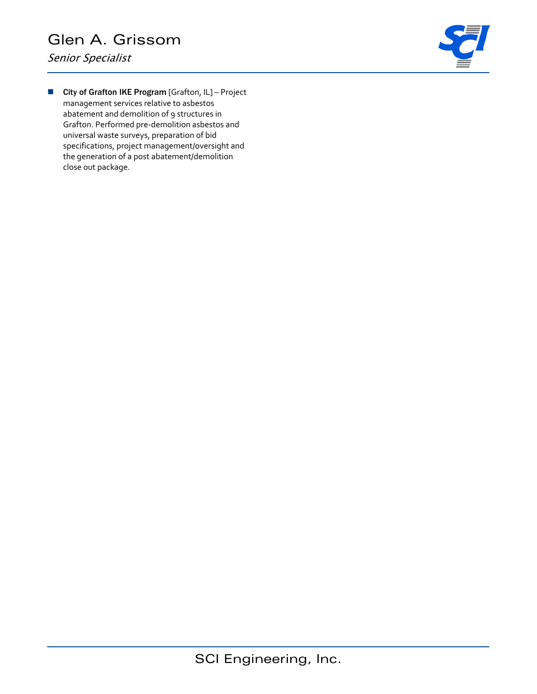Senior Specialist



**City of Grafton IKE Program [Grafton, IL] - Project** management services relative to asbestos abatement and demolition of 9 structures in Grafton. Performed pre‐demolition asbestos and universal waste surveys, preparation of bid specifications, project management/oversight and the generation of a post abatement/demolition close out package.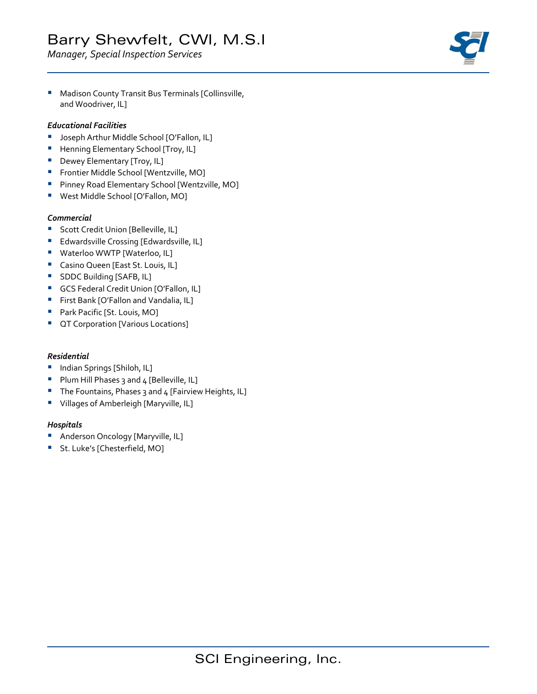# Barry Shewfelt, CWI, M.S.I

*Manager, Special Inspection Services*



**Madison County Transit Bus Terminals [Collinsville,** and Woodriver, IL]

#### *Educational Facilities*

- **Joseph Arthur Middle School [O'Fallon, IL]**
- **Henning Elementary School [Troy, IL]**
- **Dewey Elementary [Troy, IL]**
- **Frontier Middle School [Wentzville, MO]**
- **Pinney Road Elementary School [Wentzville, MO]**
- West Middle School [O'Fallon, MO]

#### *Commercial*

- **Scott Credit Union [Belleville, IL]**
- **Edwardsville Crossing [Edwardsville, IL]**
- **Waterloo WWTP [Waterloo, IL]**
- **Casino Queen [East St. Louis, IL]**
- **SDDC Building [SAFB, IL]**
- **GCS Federal Credit Union [O'Fallon, IL]**
- **First Bank [O'Fallon and Vandalia, IL]**
- **Park Pacific [St. Louis, MO]**
- **CT Corporation [Various Locations]**

#### *Residential*

- **Indian Springs [Shiloh, IL]**
- Plum Hill Phases 3 and 4 [Belleville, IL]
- The Fountains, Phases 3 and 4 [Fairview Heights, IL]
- **•** Villages of Amberleigh [Maryville, IL]

#### *Hospitals*

- **Anderson Oncology [Maryville, IL]**
- **St. Luke's [Chesterfield, MO]**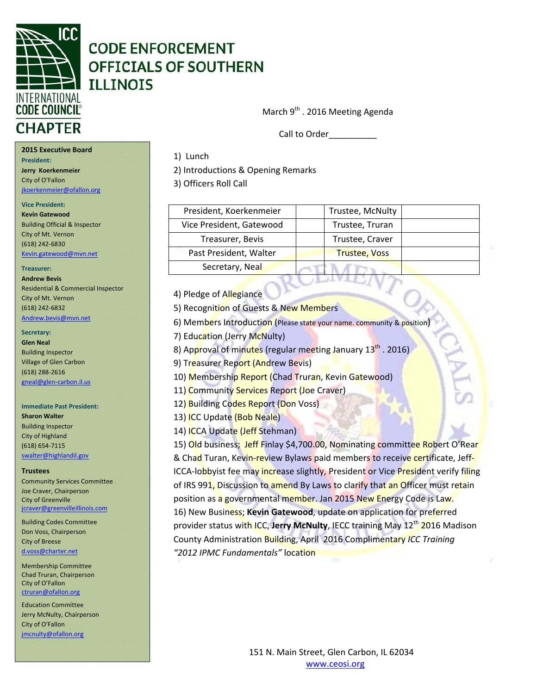

March 9<sup>th</sup> . 2016 Meeting Agenda

Call to Order\_\_\_\_\_\_\_\_\_\_

#### **2015 Executive Board**

**President:**

**President:** President: **Jerry Koerkenmeier** City of O'Fallon jkoerkenmeier@ofallon.org

#### **Vice President:**

**Kevin Gatewood** Building Official & Inspector City of Mt. Vernon (618) 242‐6830 Kevin.gatewood@mvn.net

#### **Treasurer:**

**Andrew Bevis** Residential & Commercial Inspector City of Mt. Vernon (618) 242‐6832

#### Andrew.bevis@mvn.net

**Secretary:** 

**Glen Neal** Building Inspector Village of Glen Carbon (618) 288‐2616 gneal@glen‐carbon.il.us

## **Immediate Past President:**

**Sharon Walter** Building Inspector City of Highland (618) 654‐7115 swalter@highlandil.gov

#### **Trustees**

Community Services Committee Joe Craver, Chairperson City of Greenville jcraver@greenvilleillinois.com

Building Codes Committee Don Voss, Chairperson City of Breese d.voss@charter.net

Membership Committee Chad Truran, Chairperson City of O'Fallon ctruran@ofallon.org

 Jerry McNulty, Chairperson Education Committee City of O'Fallon jmcnulty@ofallon.org

1) Lunch

2) Introductions & Opening Remarks

3) Officers Roll Call

| President, Koerkenmeier  | Trustee, McNulty     |  |
|--------------------------|----------------------|--|
| Vice President, Gatewood | Trustee, Truran      |  |
| Treasurer, Bevis         | Trustee, Craver      |  |
| Past President, Walter   | <b>Trustee, Voss</b> |  |
| Secretary, Neal          |                      |  |

#### 4) Pledge of Allegiance

5) Recognition of Guests & New Members

6) Members Introduction (Please state your name. community & position)

7) Education (Jerry McNulty)

8) Approval of minutes (regular meeting January 13<sup>th</sup> . 2016)

9) Treasurer Report (Andrew Bevis)

10) Membership Report (Chad Truran, Kevin Gatewood)

11) Community Services Report (Joe Craver)

12) Building Codes Report (Don Voss)

13) ICC Update (Bob Neale)

14) ICCA Update (Jeff Stehman)

15) Old business; Jeff Finlay \$4,700.00, Nominating committee Robert O'Rear & Chad Turan, Kevin-review Bylaws paid members to receive certificate, Jeff-ICCA-lobbyist fee may increase slightly, President or Vice President verify filing of IRS 991, Discussion to amend By Laws to clarify that an Officer must retain position as a governmental member. Jan 2015 New Energy Code is Law. 16) New Business; **Kevin Gatewood**, update on application for preferred provider status with ICC, **Jerry McNulty**, IECC training May 12th 2016 Madison County Administration Building, April 2016 Complimentary *ICC Training "2012 IPMC Fundamentals"* location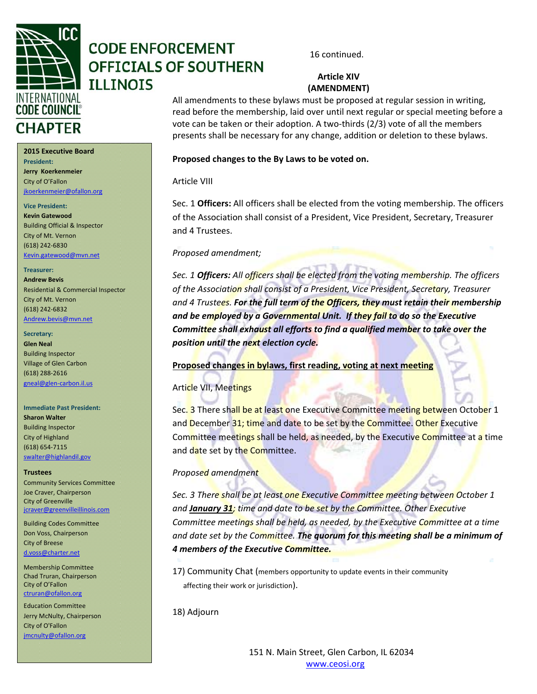

### **Article XIV (AMENDMENT)**

All amendments to these bylaws must be proposed at regular session in writing, read before the membership, laid over until next regular or special meeting before a vote can be taken or their adoption. A two-thirds (2/3) vote of all the members presents shall be necessary for any change, addition or deletion to these bylaws.

#### **Proposed changes to the By Laws to be voted on.**

#### Article VIII

Sec. 1 **Officers:** All officers shall be elected from the voting membership. The officers of the Association shall consist of a President, Vice President, Secretary, Treasurer and 4 Trustees.

#### *Proposed amendment;*

*Sec. 1 Officers: All officers shall be elected from the voting membership. The officers of the Association shall consist of a President, Vice President, Secretary, Treasurer and 4 Trustees. For the full term of the Officers, they must retain their membership and be employed by a Governmental Unit. If they fail to do so the Executive Committee shall exhaust all efforts to find a qualified member to take over the position until the next election cycle.*

**Proposed changes in bylaws, first reading, voting at next meeting**

### Article VII, Meetings

Sec. 3 There shall be at least one Executive Committee meeting between October 1 and December 31; time and date to be set by the Committee. Other Executive Committee meetings shall be held, as needed, by the Executive Committee at a time and date set by the Committee.

#### *Proposed amendment*

*Sec. 3 There shall be at least one Executive Committee meeting between October 1 and January 31; time and date to be set by the Committee. Other Executive Committee meetings shall be held, as needed, by the Executive Committee at a time and date set by the Committee. The quorum for this meeting shall be a minimum of 4 members of the Executive Committee.* 

17) Community Chat (members opportunity to update events in their community affecting their work or jurisdiction).

18) Adjourn

#### **2015 Executive Board President:**

**Jerry Koerkenmeier** City of O'Fallon jkoerkenmeier@ofallon.org

**Vice President:**

**Kevin Gatewood** Building Official & Inspector City of Mt. Vernon (618) 242‐6830 Kevin.gatewood@mvn.net

#### **Treasurer:**

**Andrew Bevis** Residential & Commercial Inspector City of Mt. Vernon (618) 242‐6832 Andrew.bevis@mvn.net

#### **Secretary:**

**Glen Neal** Building Inspector Village of Glen Carbon (618) 288‐2616 gneal@glen‐carbon.il.us

**Immediate Past President: Sharon Walter** Building Inspector City of Highland (618) 654‐7115 swalter@highlandil.gov

#### **Trustees**

Community Services Committee Joe Craver, Chairperson City of Greenville jcraver@greenvilleillinois.com

Building Codes Committee Don Voss, Chairperson City of Breese d.voss@charter.net

Membership Committee Chad Truran, Chairperson City of O'Fallon ctruran@ofallon.org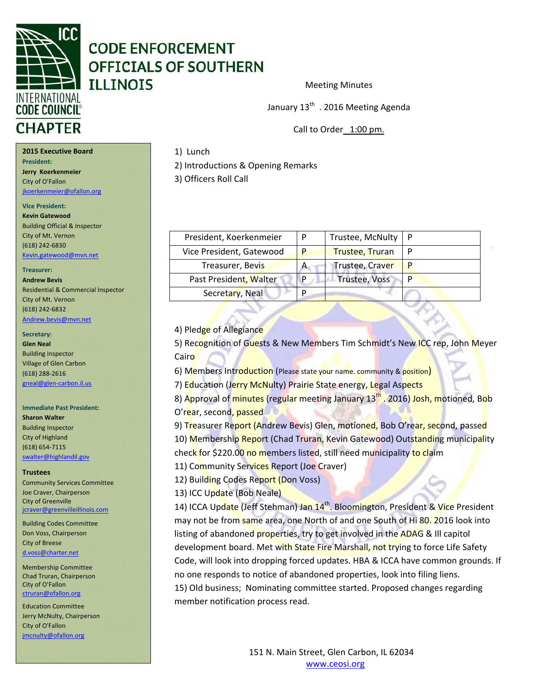

Meeting Minutes

January 13<sup>th</sup> . 2016 Meeting Agenda

Call to Order 1:00 pm.

#### 1) Lunch

2) Introductions & Opening Remarks

3) Officers Roll Call

| President, Koerkenmeier  |   | Trustee, McNulty   P   |   |
|--------------------------|---|------------------------|---|
| Vice President, Gatewood |   | <b>Trustee, Truran</b> |   |
| Treasurer, Bevis         | A | Trustee, Craver        |   |
| Past President, Walter   |   | <b>Trustee, Voss</b>   | D |
| Secretary, Neal          |   |                        |   |

#### 4) Pledge of Allegiance

5) Recognition of Guests & New Members Tim Schmidt's New ICC rep, John Meyer Cairo

6) Members Introduction (Please state your name. community & position)

7) Education (Jerry McNulty) Prairie State energy, Legal Aspects

8) Approval of minutes (regular meeting January 13<sup>th</sup> . 2016) Josh, motioned, Bob O'rear, second, passed

9) Treasurer Report (Andrew Bevis) Glen, motioned, Bob O'rear, second, passed 10) Membership Report (Chad Truran, Kevin Gatewood) Outstanding municipality check for \$220.00 no members listed, still need municipality to claim

11) Community Services Report (Joe Craver)

12) Building Codes Report (Don Voss)

13) ICC Update (Bob Neale)

14) ICCA Update (Jeff Stehman) Jan 14<sup>th</sup>. Bloomington, President & Vice President may not be from same area, one North of and one South of Hi 80. 2016 look into listing of abandoned properties, try to get involved in the ADAG & Ill capitol development board. Met with State Fire Marshall, not trying to force Life Safety Code, will look into dropping forced updates. HBA & ICCA have common grounds. If no one responds to notice of abandoned properties, look into filing liens. 15) Old business; Nominating committee started. Proposed changes regarding member notification process read.

#### **2015 Executive Board**

**President:**

**Jerry Koerkenmeier** City of O'Fallon jkoerkenmeier@ofallon.org

**Vice President:**

**Kevin Gatewood** Building Official & Inspector City of Mt. Vernon (618) 242‐6830 Kevin.gatewood@mvn.net

#### **Treasurer:**

**Andrew Bevis** Residential & Commercial Inspector City of Mt. Vernon (618) 242‐6832 Andrew.bevis@mvn.net

#### **Secretary:**

**Glen Neal** Building Inspector Village of Glen Carbon (618) 288‐2616 gneal@glen‐carbon.il.us

### **Immediate Past President:**

**Sharon Walter** Building Inspector City of Highland (618) 654‐7115 swalter@highlandil.gov

#### **Trustees**

Community Services Committee Joe Craver, Chairperson City of Greenville jcraver@greenvilleillinois.com

Building Codes Committee Don Voss, Chairperson City of Breese d.voss@charter.net

Membership Committee Chad Truran, Chairperson City of O'Fallon ctruran@ofallon.org